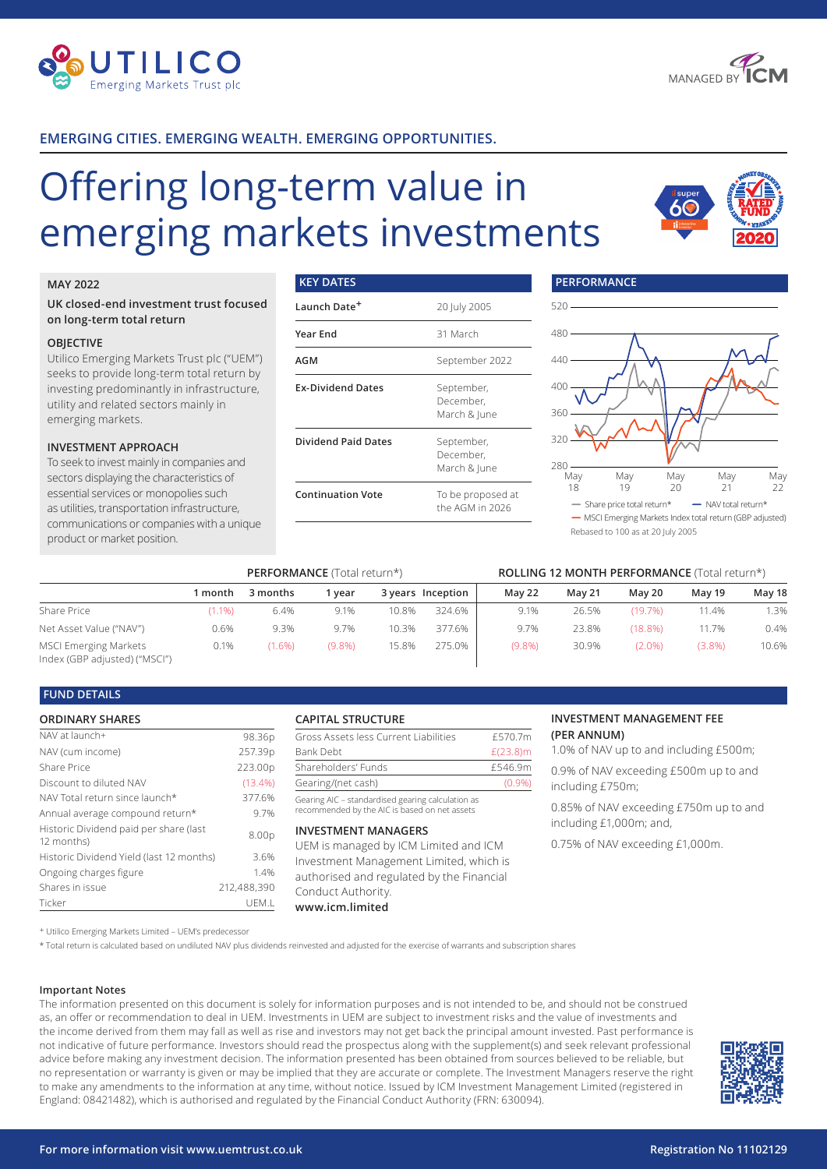



## **EMERGING CITIES. EMERGING WEALTH. EMERGING OPPORTUNITIES.**

# Offering long-term value in emerging markets investments

**KEY DATES**



#### **MAY 2022**

#### **UK closed-end investment trust focused on long-term total return**

#### **OBJECTIVE**

Utilico Emerging Markets Trust plc ("UEM") seeks to provide long-term total return by investing predominantly in infrastructure, utility and related sectors mainly in emerging markets.

#### **INVESTMENT APPROACH**

To seek to invest mainly in companies and sectors displaying the characteristics of essential services or monopolies such as utilities, transportation infrastructure, communications or companies with a unique product or market position.

# **Launch Date+** 20 July 2005 **Year End** 31 March **AGM** September 2022 **Ex-Dividend Dates** September, December, March & June **Dividend Paid Dates** September, December, March & June **Continuation Vote** To be proposed at the AGM in 2026



|                                                               |           | <b>PERFORMANCE</b> (Total return*) |        |       |                   | <b>ROLLING 12 MONTH PERFORMANCE (Total return*)</b> |               |            |        |        |
|---------------------------------------------------------------|-----------|------------------------------------|--------|-------|-------------------|-----------------------------------------------------|---------------|------------|--------|--------|
|                                                               | month     | 3 months                           | vear   |       | 3 years Inception | <b>May 22</b>                                       | <b>May 21</b> | May 20     | May 19 | May 18 |
| Share Price                                                   | $(1.1\%)$ | 6.4%                               | 9.1%   | 10.8% | 324.6%            | 9.1%                                                | 26.5%         | (19.7%)    | 11.4%  | 1.3%   |
| Net Asset Value ("NAV")                                       | 0.6%      | 9.3%                               | 9.7%   | 10.3% | 377.6%            | 9.7%                                                | 23.8%         | $(18.8\%)$ | 11.7%  | 0.4%   |
| <b>MSCI Emerging Markets</b><br>Index (GBP adjusted) ("MSCI") | 0.1%      | 1.6%                               | (9.8%) | 15.8% | 275.0%            | (9.8%)                                              | 30.9%         | $(2.0\%)$  | (3.8%) | 10.6%  |

#### **FUND DETAILS**

#### **ORDINARY SHARES**

| NAV at launch+                                       | 98.36p      |
|------------------------------------------------------|-------------|
| NAV (cum income)                                     | 257.39p     |
| Share Price                                          | 223.00p     |
| Discount to diluted NAV                              | (13.4%)     |
| NAV Total return since launch*                       | 377.6%      |
| Annual average compound return*                      | 9.7%        |
| Historic Dividend paid per share (last<br>12 months) | 8.00p       |
| Historic Dividend Yield (last 12 months)             | 3.6%        |
| Ongoing charges figure                               | 1.4%        |
| Shares in issue                                      | 212,488,390 |
| Ticker                                               | UEM.L       |

#### **CAPITAL STRUCTURE**

| Gross Assets less Current Liabilities | £570.7m     |
|---------------------------------------|-------------|
| Bank Debt                             | $£(23.8)$ m |
| Shareholders' Funds                   | £546.9m     |
| Gearing/(net cash)                    | (0.9%       |
|                                       |             |

Gearing AIC – standardised gearing calculation as recommended by the AIC is based on net assets

#### **INVESTMENT MANAGERS**

UEM is managed by ICM Limited and ICM Investment Management Limited, which is authorised and regulated by the Financial Conduct Authority. **www.icm.limited**

#### **INVESTMENT MANAGEMENT FEE (PER ANNUM)**

1.0% of NAV up to and including £500m;

0.9% of NAV exceeding £500m up to and including £750m;

0.85% of NAV exceeding £750m up to and including £1,000m; and,

0.75% of NAV exceeding £1,000m.

+ Utilico Emerging Markets Limited – UEM's predecessor

\* Total return is calculated based on undiluted NAV plus dividends reinvested and adjusted for the exercise of warrants and subscription shares

#### **Important Notes**

The information presented on this document is solely for information purposes and is not intended to be, and should not be construed as, an offer or recommendation to deal in UEM. Investments in UEM are subject to investment risks and the value of investments and the income derived from them may fall as well as rise and investors may not get back the principal amount invested. Past performance is not indicative of future performance. Investors should read the prospectus along with the supplement(s) and seek relevant professional advice before making any investment decision. The information presented has been obtained from sources believed to be reliable, but no representation or warranty is given or may be implied that they are accurate or complete. The Investment Managers reserve the right to make any amendments to the information at any time, without notice. Issued by ICM Investment Management Limited (registered in England: 08421482), which is authorised and regulated by the Financial Conduct Authority (FRN: 630094).